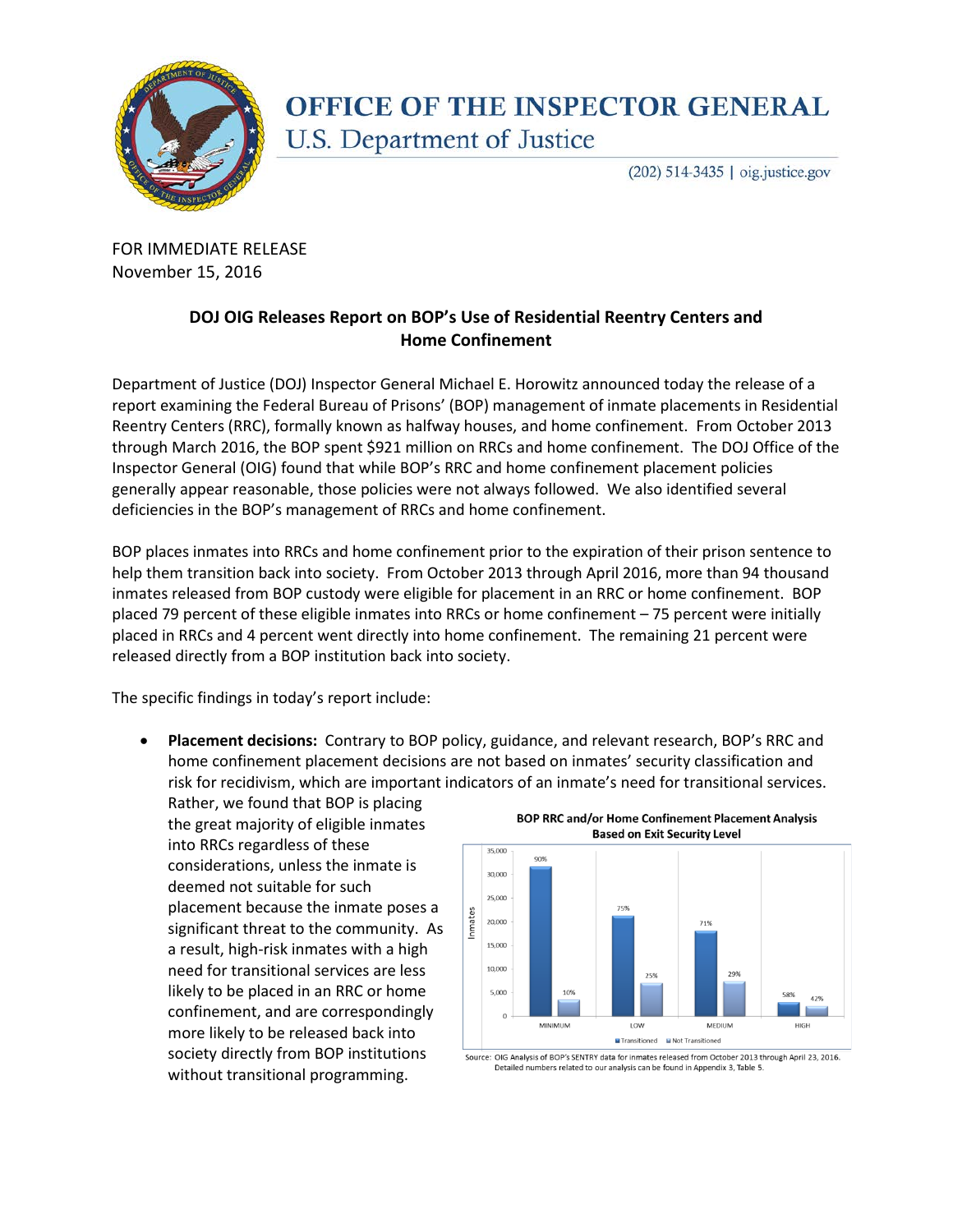

## **OFFICE OF THE INSPECTOR GENERAL** U.S. Department of Justice

(202) 514-3435 | oig.justice.gov

FOR IMMEDIATE RELEASE November 15, 2016

## **DOJ OIG Releases Report on BOP's Use of Residential Reentry Centers and Home Confinement**

Department of Justice (DOJ) Inspector General Michael E. Horowitz announced today the release of a report examining the Federal Bureau of Prisons' (BOP) management of inmate placements in Residential Reentry Centers (RRC), formally known as halfway houses, and home confinement. From October 2013 through March 2016, the BOP spent \$921 million on RRCs and home confinement. The DOJ Office of the Inspector General (OIG) found that while BOP's RRC and home confinement placement policies generally appear reasonable, those policies were not always followed. We also identified several deficiencies in the BOP's management of RRCs and home confinement.

BOP places inmates into RRCs and home confinement prior to the expiration of their prison sentence to help them transition back into society. From October 2013 through April 2016, more than 94 thousand inmates released from BOP custody were eligible for placement in an RRC or home confinement. BOP placed 79 percent of these eligible inmates into RRCs or home confinement – 75 percent were initially placed in RRCs and 4 percent went directly into home confinement. The remaining 21 percent were released directly from a BOP institution back into society.

The specific findings in today's report include:

- **Placement decisions:** Contrary to BOP policy, guidance, and relevant research, BOP's RRC and home confinement placement decisions are not based on inmates' security classification and risk for recidivism, which are important indicators of an inmate's need for transitional services.
	- Rather, we found that BOP is placing the great majority of eligible inmates into RRCs regardless of these considerations, unless the inmate is deemed not suitable for such placement because the inmate poses a significant threat to the community. As a result, high-risk inmates with a high need for transitional services are less likely to be placed in an RRC or home confinement, and are correspondingly more likely to be released back into society directly from BOP institutions without transitional programming.



**BOP RRC and/or Home Confinement Placement Analysis Based on Exit Security Level** 

Source: OIG Analysis of BOP's SENTRY data for inmates released from October 2013 through April 23, 2016. Detailed numbers related to our analysis can be found in Appendix 3, Table 5